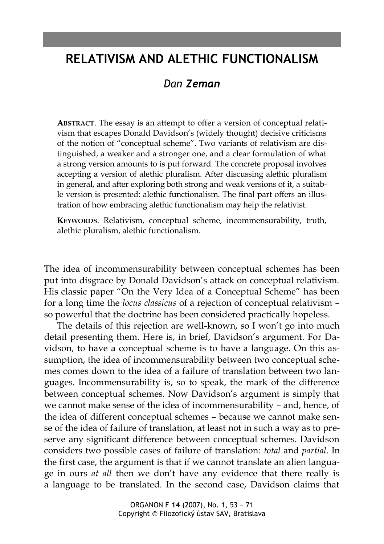# **RELATIVISM AND ALETHIC FUNCTIONALISM**

# *Dan Zeman*

**ABSTRACT**. The essay is an attempt to offer a version of conceptual relativism that escapes Donald Davidson's (widely thought) decisive criticisms of the notion of "conceptual scheme". Two variants of relativism are distinguished, a weaker and a stronger one, and a clear formulation of what a strong version amounts to is put forward. The concrete proposal involves accepting a version of alethic pluralism. After discussing alethic pluralism in general, and after exploring both strong and weak versions of it, a suitable version is presented: alethic functionalism. The final part offers an illustration of how embracing alethic functionalism may help the relativist.

**KEYWORDS**. Relativism, conceptual scheme, incommensurability, truth, alethic pluralism, alethic functionalism.

The idea of incommensurability between conceptual schemes has been put into disgrace by Donald Davidson's attack on conceptual relativism. His classic paper "On the Very Idea of a Conceptual Scheme" has been for a long time the *locus classicus* of a rejection of conceptual relativism – so powerful that the doctrine has been considered practically hopeless.

The details of this rejection are well-known, so I won't go into much detail presenting them. Here is, in brief, Davidson's argument. For Davidson, to have a conceptual scheme is to have a language. On this assumption, the idea of incommensurability between two conceptual schemes comes down to the idea of a failure of translation between two languages. Incommensurability is, so to speak, the mark of the difference between conceptual schemes. Now Davidson's argument is simply that we cannot make sense of the idea of incommensurability – and, hence, of the idea of different conceptual schemes – because we cannot make sense of the idea of failure of translation, at least not in such a way as to preserve any significant difference between conceptual schemes. Davidson considers two possible cases of failure of translation: *total* and *partial*. In the first case, the argument is that if we cannot translate an alien language in ours *at all* then we don't have any evidence that there really is a language to be translated. In the second case, Davidson claims that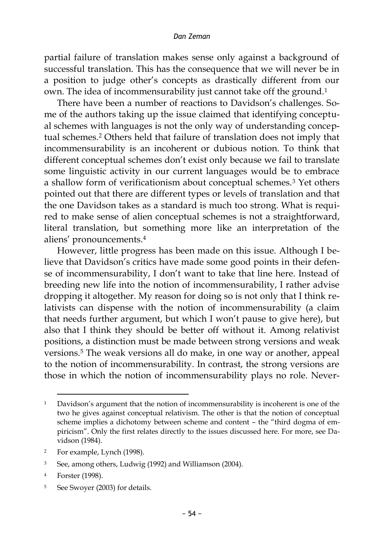partial failure of translation makes sense only against a background of successful translation. This has the consequence that we will never be in a position to judge other's concepts as drastically different from our own. The idea of incommensurability just cannot take off the ground.<sup>1</sup>

There have been a number of reactions to Davidson's challenges. Some of the authors taking up the issue claimed that identifying conceptual schemes with languages is not the only way of understanding conceptual schemes.<sup>2</sup> Others held that failure of translation does not imply that incommensurability is an incoherent or dubious notion. To think that different conceptual schemes don't exist only because we fail to translate some linguistic activity in our current languages would be to embrace a shallow form of verificationism about conceptual schemes.<sup>3</sup> Yet others pointed out that there are different types or levels of translation and that the one Davidson takes as a standard is much too strong. What is required to make sense of alien conceptual schemes is not a straightforward, literal translation, but something more like an interpretation of the aliens' pronouncements.<sup>4</sup>

However, little progress has been made on this issue. Although I believe that Davidson's critics have made some good points in their defense of incommensurability, I don't want to take that line here. Instead of breeding new life into the notion of incommensurability, I rather advise dropping it altogether. My reason for doing so is not only that I think relativists can dispense with the notion of incommensurability (a claim that needs further argument, but which I won't pause to give here), but also that I think they should be better off without it. Among relativist positions, a distinction must be made between strong versions and weak versions.<sup>5</sup> The weak versions all do make, in one way or another, appeal to the notion of incommensurability. In contrast, the strong versions are those in which the notion of incommensurability plays no role. Never-

<sup>1</sup> Davidson's argument that the notion of incommensurability is incoherent is one of the two he gives against conceptual relativism. The other is that the notion of conceptual scheme implies a dichotomy between scheme and content – the "third dogma of empiricism". Only the first relates directly to the issues discussed here. For more, see Davidson (1984).

<sup>2</sup> For example, Lynch (1998).

<sup>3</sup> See, among others, Ludwig (1992) and Williamson (2004).

<sup>4</sup> Forster (1998).

<sup>5</sup> See Swoyer (2003) for details.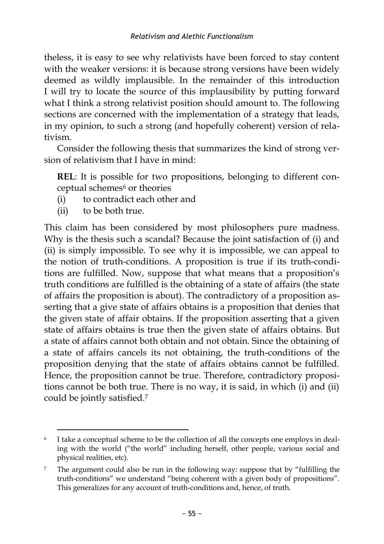theless, it is easy to see why relativists have been forced to stay content with the weaker versions: it is because strong versions have been widely deemed as wildly implausible. In the remainder of this introduction I will try to locate the source of this implausibility by putting forward what I think a strong relativist position should amount to. The following sections are concerned with the implementation of a strategy that leads, in my opinion, to such a strong (and hopefully coherent) version of relativism.

Consider the following thesis that summarizes the kind of strong version of relativism that I have in mind:

**REL**: It is possible for two propositions, belonging to different conceptual schemes<sup>6</sup> or theories

- (i) to contradict each other and
- (ii) to be both true.

 $\overline{a}$ 

This claim has been considered by most philosophers pure madness. Why is the thesis such a scandal? Because the joint satisfaction of (i) and (ii) is simply impossible. To see why it is impossible, we can appeal to the notion of truth-conditions. A proposition is true if its truth-conditions are fulfilled. Now, suppose that what means that a proposition's truth conditions are fulfilled is the obtaining of a state of affairs (the state of affairs the proposition is about). The contradictory of a proposition asserting that a give state of affairs obtains is a proposition that denies that the given state of affair obtains. If the proposition asserting that a given state of affairs obtains is true then the given state of affairs obtains. But a state of affairs cannot both obtain and not obtain. Since the obtaining of a state of affairs cancels its not obtaining, the truth-conditions of the proposition denying that the state of affairs obtains cannot be fulfilled. Hence, the proposition cannot be true. Therefore, contradictory propositions cannot be both true. There is no way, it is said, in which (i) and (ii) could be jointly satisfied.<sup>7</sup>

<sup>6</sup> I take a conceptual scheme to be the collection of all the concepts one employs in dealing with the world ("the world" including herself, other people, various social and physical realities, etc).

<sup>7</sup> The argument could also be run in the following way: suppose that by "fulfilling the truth-conditions" we understand "being coherent with a given body of propositions". This generalizes for any account of truth-conditions and, hence, of truth.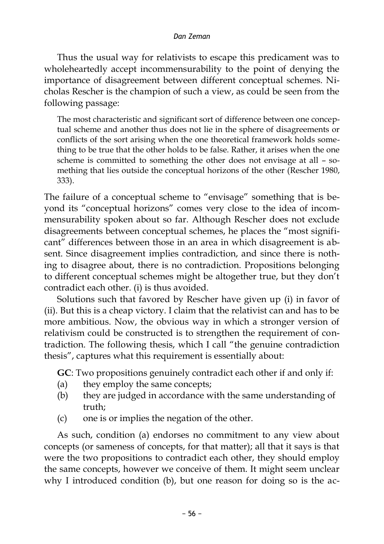Thus the usual way for relativists to escape this predicament was to wholeheartedly accept incommensurability to the point of denying the importance of disagreement between different conceptual schemes. Nicholas Rescher is the champion of such a view, as could be seen from the following passage:

The most characteristic and significant sort of difference between one conceptual scheme and another thus does not lie in the sphere of disagreements or conflicts of the sort arising when the one theoretical framework holds something to be true that the other holds to be false. Rather, it arises when the one scheme is committed to something the other does not envisage at all – something that lies outside the conceptual horizons of the other (Rescher 1980, 333).

The failure of a conceptual scheme to "envisage" something that is beyond its "conceptual horizons" comes very close to the idea of incommensurability spoken about so far. Although Rescher does not exclude disagreements between conceptual schemes, he places the "most significant" differences between those in an area in which disagreement is absent. Since disagreement implies contradiction, and since there is nothing to disagree about, there is no contradiction. Propositions belonging to different conceptual schemes might be altogether true, but they don't contradict each other. (i) is thus avoided.

Solutions such that favored by Rescher have given up (i) in favor of (ii). But this is a cheap victory. I claim that the relativist can and has to be more ambitious. Now, the obvious way in which a stronger version of relativism could be constructed is to strengthen the requirement of contradiction. The following thesis, which I call "the genuine contradiction thesis", captures what this requirement is essentially about:

**GC**: Two propositions genuinely contradict each other if and only if:

- (a) they employ the same concepts;
- (b) they are judged in accordance with the same understanding of truth;
- (c) one is or implies the negation of the other.

As such, condition (a) endorses no commitment to any view about concepts (or sameness of concepts, for that matter); all that it says is that were the two propositions to contradict each other, they should employ the same concepts, however we conceive of them. It might seem unclear why I introduced condition (b), but one reason for doing so is the ac-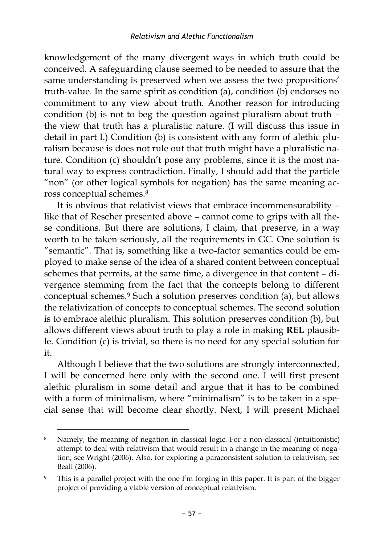knowledgement of the many divergent ways in which truth could be conceived. A safeguarding clause seemed to be needed to assure that the same understanding is preserved when we assess the two propositions' truth-value. In the same spirit as condition (a), condition (b) endorses no commitment to any view about truth. Another reason for introducing condition (b) is not to beg the question against pluralism about truth – the view that truth has a pluralistic nature. (I will discuss this issue in detail in part I.) Condition (b) is consistent with any form of alethic pluralism because is does not rule out that truth might have a pluralistic nature. Condition (c) shouldn't pose any problems, since it is the most natural way to express contradiction. Finally, I should add that the particle "non" (or other logical symbols for negation) has the same meaning across conceptual schemes.<sup>8</sup>

It is obvious that relativist views that embrace incommensurability – like that of Rescher presented above – cannot come to grips with all these conditions. But there are solutions, I claim, that preserve, in a way worth to be taken seriously, all the requirements in GC. One solution is "semantic". That is, something like a two-factor semantics could be employed to make sense of the idea of a shared content between conceptual schemes that permits, at the same time, a divergence in that content – divergence stemming from the fact that the concepts belong to different conceptual schemes.<sup>9</sup> Such a solution preserves condition (a), but allows the relativization of concepts to conceptual schemes. The second solution is to embrace alethic pluralism. This solution preserves condition (b), but allows different views about truth to play a role in making **REL** plausible. Condition (c) is trivial, so there is no need for any special solution for it.

Although I believe that the two solutions are strongly interconnected, I will be concerned here only with the second one. I will first present alethic pluralism in some detail and argue that it has to be combined with a form of minimalism, where "minimalism" is to be taken in a special sense that will become clear shortly. Next, I will present Michael

 $\overline{a}$ 8 Namely, the meaning of negation in classical logic. For a non-classical (intuitionistic) attempt to deal with relativism that would result in a change in the meaning of negation, see Wright (2006). Also, for exploring a paraconsistent solution to relativism, see Beall (2006).

<sup>9</sup> This is a parallel project with the one I'm forging in this paper. It is part of the bigger project of providing a viable version of conceptual relativism.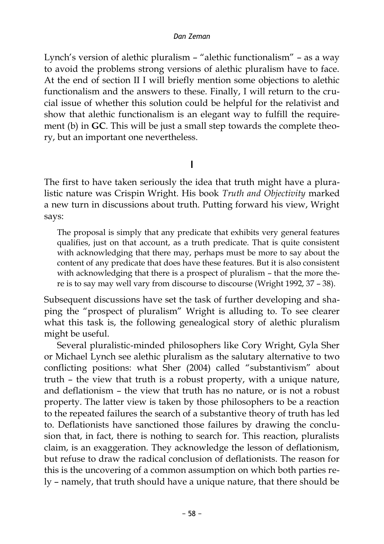Lynch's version of alethic pluralism – "alethic functionalism" – as a way to avoid the problems strong versions of alethic pluralism have to face. At the end of section II I will briefly mention some objections to alethic functionalism and the answers to these. Finally, I will return to the crucial issue of whether this solution could be helpful for the relativist and show that alethic functionalism is an elegant way to fulfill the requirement (b) in **GC**. This will be just a small step towards the complete theory, but an important one nevertheless.

## **I**

The first to have taken seriously the idea that truth might have a pluralistic nature was Crispin Wright. His book *Truth and Objectivity* marked a new turn in discussions about truth. Putting forward his view, Wright says:

The proposal is simply that any predicate that exhibits very general features qualifies, just on that account, as a truth predicate. That is quite consistent with acknowledging that there may, perhaps must be more to say about the content of any predicate that does have these features. But it is also consistent with acknowledging that there is a prospect of pluralism – that the more there is to say may well vary from discourse to discourse (Wright 1992, 37 – 38).

Subsequent discussions have set the task of further developing and shaping the "prospect of pluralism" Wright is alluding to. To see clearer what this task is, the following genealogical story of alethic pluralism might be useful.

Several pluralistic-minded philosophers like Cory Wright, Gyla Sher or Michael Lynch see alethic pluralism as the salutary alternative to two conflicting positions: what Sher (2004) called "substantivism" about truth – the view that truth is a robust property, with a unique nature, and deflationism – the view that truth has no nature, or is not a robust property. The latter view is taken by those philosophers to be a reaction to the repeated failures the search of a substantive theory of truth has led to. Deflationists have sanctioned those failures by drawing the conclusion that, in fact, there is nothing to search for. This reaction, pluralists claim, is an exaggeration. They acknowledge the lesson of deflationism, but refuse to draw the radical conclusion of deflationists. The reason for this is the uncovering of a common assumption on which both parties rely – namely, that truth should have a unique nature, that there should be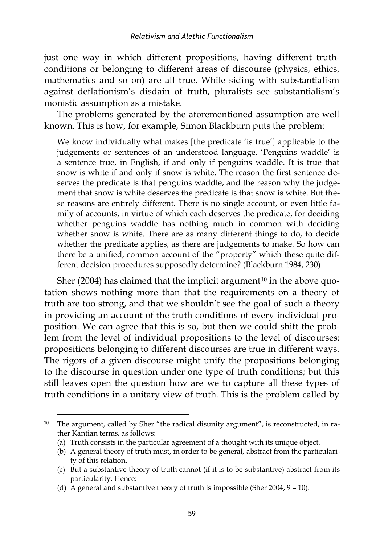just one way in which different propositions, having different truthconditions or belonging to different areas of discourse (physics, ethics, mathematics and so on) are all true. While siding with substantialism against deflationism's disdain of truth, pluralists see substantialism's monistic assumption as a mistake.

The problems generated by the aforementioned assumption are well known. This is how, for example, Simon Blackburn puts the problem:

We know individually what makes [the predicate 'is true'] applicable to the judgements or sentences of an understood language. 'Penguins waddle' is a sentence true, in English, if and only if penguins waddle. It is true that snow is white if and only if snow is white. The reason the first sentence deserves the predicate is that penguins waddle, and the reason why the judgement that snow is white deserves the predicate is that snow is white. But these reasons are entirely different. There is no single account, or even little family of accounts, in virtue of which each deserves the predicate, for deciding whether penguins waddle has nothing much in common with deciding whether snow is white. There are as many different things to do, to decide whether the predicate applies, as there are judgements to make. So how can there be a unified, common account of the "property" which these quite different decision procedures supposedly determine? (Blackburn 1984, 230)

Sher (2004) has claimed that the implicit argument<sup>10</sup> in the above quotation shows nothing more than that the requirements on a theory of truth are too strong, and that we shouldn't see the goal of such a theory in providing an account of the truth conditions of every individual proposition. We can agree that this is so, but then we could shift the problem from the level of individual propositions to the level of discourses: propositions belonging to different discourses are true in different ways. The rigors of a given discourse might unify the propositions belonging to the discourse in question under one type of truth conditions; but this still leaves open the question how are we to capture all these types of truth conditions in a unitary view of truth. This is the problem called by

<sup>10</sup> The argument, called by Sher "the radical disunity argument", is reconstructed, in rather Kantian terms, as follows:

<sup>(</sup>a) Truth consists in the particular agreement of a thought with its unique object.

<sup>(</sup>b) A general theory of truth must, in order to be general, abstract from the particularity of this relation.

<sup>(</sup>c) But a substantive theory of truth cannot (if it is to be substantive) abstract from its particularity. Hence:

<sup>(</sup>d) A general and substantive theory of truth is impossible (Sher 2004, 9 – 10).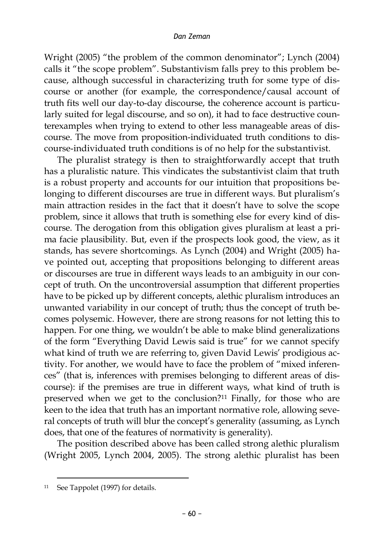Wright (2005) "the problem of the common denominator"; Lynch (2004) calls it "the scope problem". Substantivism falls prey to this problem because, although successful in characterizing truth for some type of discourse or another (for example, the correspondence/causal account of truth fits well our day-to-day discourse, the coherence account is particularly suited for legal discourse, and so on), it had to face destructive counterexamples when trying to extend to other less manageable areas of discourse. The move from proposition-individuated truth conditions to discourse-individuated truth conditions is of no help for the substantivist.

The pluralist strategy is then to straightforwardly accept that truth has a pluralistic nature. This vindicates the substantivist claim that truth is a robust property and accounts for our intuition that propositions belonging to different discourses are true in different ways. But pluralism's main attraction resides in the fact that it doesn't have to solve the scope problem, since it allows that truth is something else for every kind of discourse. The derogation from this obligation gives pluralism at least a prima facie plausibility. But, even if the prospects look good, the view, as it stands, has severe shortcomings. As Lynch (2004) and Wright (2005) have pointed out, accepting that propositions belonging to different areas or discourses are true in different ways leads to an ambiguity in our concept of truth. On the uncontroversial assumption that different properties have to be picked up by different concepts, alethic pluralism introduces an unwanted variability in our concept of truth; thus the concept of truth becomes polysemic. However, there are strong reasons for not letting this to happen. For one thing, we wouldn't be able to make blind generalizations of the form "Everything David Lewis said is true" for we cannot specify what kind of truth we are referring to, given David Lewis' prodigious activity. For another, we would have to face the problem of "mixed inferences" (that is, inferences with premises belonging to different areas of discourse): if the premises are true in different ways, what kind of truth is preserved when we get to the conclusion?<sup>11</sup> Finally, for those who are keen to the idea that truth has an important normative role, allowing several concepts of truth will blur the concept's generality (assuming, as Lynch does, that one of the features of normativity is generality).

The position described above has been called strong alethic pluralism (Wright 2005, Lynch 2004, 2005). The strong alethic pluralist has been

<sup>11</sup> See Tappolet (1997) for details.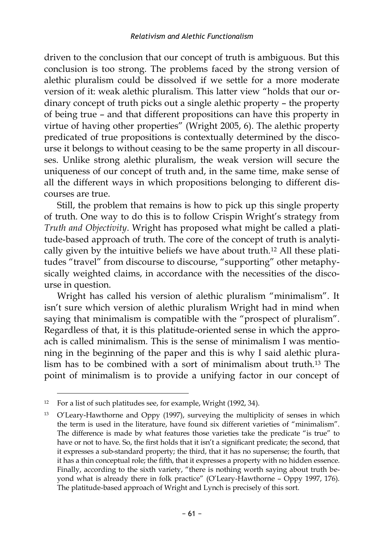driven to the conclusion that our concept of truth is ambiguous. But this conclusion is too strong. The problems faced by the strong version of alethic pluralism could be dissolved if we settle for a more moderate version of it: weak alethic pluralism. This latter view "holds that our ordinary concept of truth picks out a single alethic property – the property of being true – and that different propositions can have this property in virtue of having other properties" (Wright 2005, 6). The alethic property predicated of true propositions is contextually determined by the discourse it belongs to without ceasing to be the same property in all discourses. Unlike strong alethic pluralism, the weak version will secure the uniqueness of our concept of truth and, in the same time, make sense of all the different ways in which propositions belonging to different discourses are true.

Still, the problem that remains is how to pick up this single property of truth. One way to do this is to follow Crispin Wright's strategy from *Truth and Objectivity*. Wright has proposed what might be called a platitude-based approach of truth. The core of the concept of truth is analytically given by the intuitive beliefs we have about truth.<sup>12</sup> All these platitudes "travel" from discourse to discourse, "supporting" other metaphysically weighted claims, in accordance with the necessities of the discourse in question.

Wright has called his version of alethic pluralism "minimalism". It isn't sure which version of alethic pluralism Wright had in mind when saying that minimalism is compatible with the "prospect of pluralism". Regardless of that, it is this platitude-oriented sense in which the approach is called minimalism. This is the sense of minimalism I was mentioning in the beginning of the paper and this is why I said alethic pluralism has to be combined with a sort of minimalism about truth.<sup>13</sup> The point of minimalism is to provide a unifying factor in our concept of

<sup>&</sup>lt;sup>12</sup> For a list of such platitudes see, for example, Wright (1992, 34).

<sup>13</sup> O'Leary-Hawthorne and Oppy (1997), surveying the multiplicity of senses in which the term is used in the literature, have found six different varieties of "minimalism". The difference is made by what features those varieties take the predicate "is true" to have or not to have. So, the first holds that it isn't a significant predicate; the second, that it expresses a sub-standard property; the third, that it has no supersense; the fourth, that it has a thin conceptual role; the fifth, that it expresses a property with no hidden essence. Finally, according to the sixth variety, "there is nothing worth saying about truth beyond what is already there in folk practice" (O'Leary-Hawthorne – Oppy 1997, 176). The platitude-based approach of Wright and Lynch is precisely of this sort.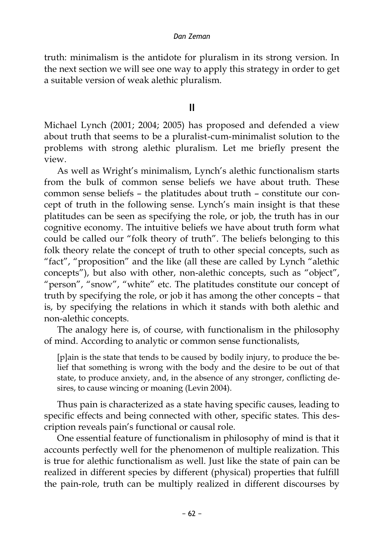truth: minimalism is the antidote for pluralism in its strong version. In the next section we will see one way to apply this strategy in order to get a suitable version of weak alethic pluralism.

### **II**

Michael Lynch (2001; 2004; 2005) has proposed and defended a view about truth that seems to be a pluralist-cum-minimalist solution to the problems with strong alethic pluralism. Let me briefly present the view.

As well as Wright's minimalism, Lynch's alethic functionalism starts from the bulk of common sense beliefs we have about truth. These common sense beliefs – the platitudes about truth – constitute our concept of truth in the following sense. Lynch's main insight is that these platitudes can be seen as specifying the role, or job, the truth has in our cognitive economy. The intuitive beliefs we have about truth form what could be called our "folk theory of truth". The beliefs belonging to this folk theory relate the concept of truth to other special concepts, such as "fact", "proposition" and the like (all these are called by Lynch "alethic concepts"), but also with other, non-alethic concepts, such as "object", "person", "snow", "white" etc. The platitudes constitute our concept of truth by specifying the role, or job it has among the other concepts – that is, by specifying the relations in which it stands with both alethic and non-alethic concepts.

The analogy here is, of course, with functionalism in the philosophy of mind. According to analytic or common sense functionalists,

[p]ain is the state that tends to be caused by bodily injury, to produce the belief that something is wrong with the body and the desire to be out of that state, to produce anxiety, and, in the absence of any stronger, conflicting desires, to cause wincing or moaning (Levin 2004).

Thus pain is characterized as a state having specific causes, leading to specific effects and being connected with other, specific states. This description reveals pain's functional or causal role.

One essential feature of functionalism in philosophy of mind is that it accounts perfectly well for the phenomenon of multiple realization. This is true for alethic functionalism as well. Just like the state of pain can be realized in different species by different (physical) properties that fulfill the pain-role, truth can be multiply realized in different discourses by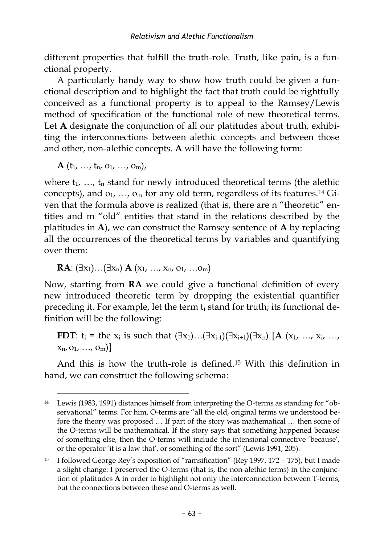different properties that fulfill the truth-role. Truth, like pain, is a functional property.

A particularly handy way to show how truth could be given a functional description and to highlight the fact that truth could be rightfully conceived as a functional property is to appeal to the Ramsey/Lewis method of specification of the functional role of new theoretical terms. Let **A** designate the conjunction of all our platitudes about truth, exhibiting the interconnections between alethic concepts and between those and other, non-alethic concepts. **A** will have the following form:

 $A(t_1, ..., t_n, o_1, ..., o_m),$ 

where  $t_1$ , ...,  $t_n$  stand for newly introduced theoretical terms (the alethic concepts), and  $o_1$ , ...,  $o_m$  for any old term, regardless of its features.<sup>14</sup> Given that the formula above is realized (that is, there are n "theoretic" entities and m "old" entities that stand in the relations described by the platitudes in **A**), we can construct the Ramsey sentence of **A** by replacing all the occurrences of the theoretical terms by variables and quantifying over them:

**RA**:  $(\exists x_1) \dots (\exists x_n)$  **A**  $(x_1, ..., x_n, 0_1, ... 0_m)$ 

Now, starting from **RA** we could give a functional definition of every new introduced theoretic term by dropping the existential quantifier preceding it. For example, let the term t<sub>i</sub> stand for truth; its functional definition will be the following:

**FDT**:  $t_i$  = the  $x_i$  is such that  $(\exists x_1)...(\exists x_{i-1})(\exists x_{i+1})(\exists x_n)$  [**A**  $(x_1,..., x_i,..., x_n)$ ]  $x_n$ ,  $o_1$ , ...,  $o_m$ ]

And this is how the truth-role is defined.<sup>15</sup> With this definition in hand, we can construct the following schema:

 $\overline{a}$ <sup>14</sup> Lewis (1983, 1991) distances himself from interpreting the O-terms as standing for "observational" terms. For him, O-terms are "all the old, original terms we understood before the theory was proposed … If part of the story was mathematical … then some of the O-terms will be mathematical. If the story says that something happened because of something else, then the O-terms will include the intensional connective 'because', or the operator 'it is a law that', or something of the sort" (Lewis 1991, 205).

<sup>15</sup> I followed George Rey's exposition of "ramsification" (Rey 1997, 172 – 175), but I made a slight change: I preserved the O-terms (that is, the non-alethic terms) in the conjunction of platitudes **A** in order to highlight not only the interconnection between T-terms, but the connections between these and O-terms as well.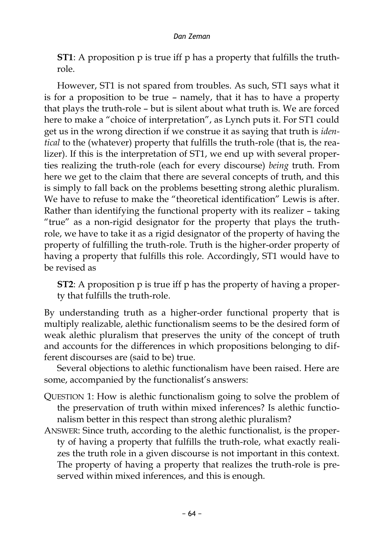**ST1**: A proposition p is true iff p has a property that fulfills the truthrole.

However, ST1 is not spared from troubles. As such, ST1 says what it is for a proposition to be true – namely, that it has to have a property that plays the truth-role – but is silent about what truth is. We are forced here to make a "choice of interpretation", as Lynch puts it. For ST1 could get us in the wrong direction if we construe it as saying that truth is *identical* to the (whatever) property that fulfills the truth-role (that is, the realizer). If this is the interpretation of ST1, we end up with several properties realizing the truth-role (each for every discourse) *being* truth. From here we get to the claim that there are several concepts of truth, and this is simply to fall back on the problems besetting strong alethic pluralism. We have to refuse to make the "theoretical identification" Lewis is after. Rather than identifying the functional property with its realizer – taking "true" as a non-rigid designator for the property that plays the truthrole, we have to take it as a rigid designator of the property of having the property of fulfilling the truth-role. Truth is the higher-order property of having a property that fulfills this role. Accordingly, ST1 would have to be revised as

**ST2**: A proposition p is true iff p has the property of having a property that fulfills the truth-role.

By understanding truth as a higher-order functional property that is multiply realizable, alethic functionalism seems to be the desired form of weak alethic pluralism that preserves the unity of the concept of truth and accounts for the differences in which propositions belonging to different discourses are (said to be) true.

Several objections to alethic functionalism have been raised. Here are some, accompanied by the functionalist's answers:

- QUESTION 1: How is alethic functionalism going to solve the problem of the preservation of truth within mixed inferences? Is alethic functionalism better in this respect than strong alethic pluralism?
- ANSWER: Since truth, according to the alethic functionalist, is the property of having a property that fulfills the truth-role, what exactly realizes the truth role in a given discourse is not important in this context. The property of having a property that realizes the truth-role is preserved within mixed inferences, and this is enough.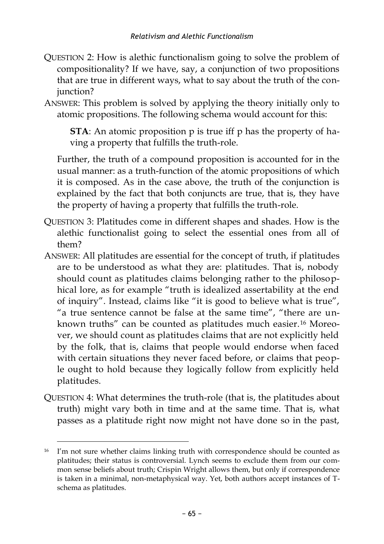- QUESTION 2: How is alethic functionalism going to solve the problem of compositionality? If we have, say, a conjunction of two propositions that are true in different ways, what to say about the truth of the conjunction?
- ANSWER: This problem is solved by applying the theory initially only to atomic propositions. The following schema would account for this:

**STA**: An atomic proposition p is true iff p has the property of having a property that fulfills the truth-role.

Further, the truth of a compound proposition is accounted for in the usual manner: as a truth-function of the atomic propositions of which it is composed. As in the case above, the truth of the conjunction is explained by the fact that both conjuncts are true, that is, they have the property of having a property that fulfills the truth-role.

- QUESTION 3: Platitudes come in different shapes and shades. How is the alethic functionalist going to select the essential ones from all of them?
- ANSWER: All platitudes are essential for the concept of truth, if platitudes are to be understood as what they are: platitudes. That is, nobody should count as platitudes claims belonging rather to the philosophical lore, as for example "truth is idealized assertability at the end of inquiry". Instead, claims like "it is good to believe what is true", "a true sentence cannot be false at the same time", "there are unknown truths" can be counted as platitudes much easier.<sup>16</sup> Moreover, we should count as platitudes claims that are not explicitly held by the folk, that is, claims that people would endorse when faced with certain situations they never faced before, or claims that people ought to hold because they logically follow from explicitly held platitudes.
- QUESTION 4: What determines the truth-role (that is, the platitudes about truth) might vary both in time and at the same time. That is, what passes as a platitude right now might not have done so in the past,

<sup>&</sup>lt;sup>16</sup> I'm not sure whether claims linking truth with correspondence should be counted as platitudes; their status is controversial. Lynch seems to exclude them from our common sense beliefs about truth; Crispin Wright allows them, but only if correspondence is taken in a minimal, non-metaphysical way. Yet, both authors accept instances of Tschema as platitudes.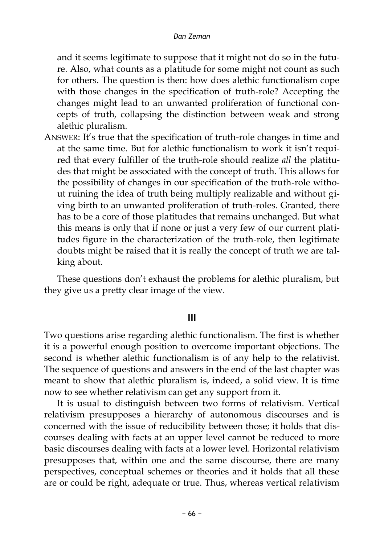and it seems legitimate to suppose that it might not do so in the future. Also, what counts as a platitude for some might not count as such for others. The question is then: how does alethic functionalism cope with those changes in the specification of truth-role? Accepting the changes might lead to an unwanted proliferation of functional concepts of truth, collapsing the distinction between weak and strong alethic pluralism.

ANSWER: It's true that the specification of truth-role changes in time and at the same time. But for alethic functionalism to work it isn't required that every fulfiller of the truth-role should realize *all* the platitudes that might be associated with the concept of truth. This allows for the possibility of changes in our specification of the truth-role without ruining the idea of truth being multiply realizable and without giving birth to an unwanted proliferation of truth-roles. Granted, there has to be a core of those platitudes that remains unchanged. But what this means is only that if none or just a very few of our current platitudes figure in the characterization of the truth-role, then legitimate doubts might be raised that it is really the concept of truth we are talking about.

These questions don't exhaust the problems for alethic pluralism, but they give us a pretty clear image of the view.

# **III**

Two questions arise regarding alethic functionalism. The first is whether it is a powerful enough position to overcome important objections. The second is whether alethic functionalism is of any help to the relativist. The sequence of questions and answers in the end of the last chapter was meant to show that alethic pluralism is, indeed, a solid view. It is time now to see whether relativism can get any support from it.

It is usual to distinguish between two forms of relativism. Vertical relativism presupposes a hierarchy of autonomous discourses and is concerned with the issue of reducibility between those; it holds that discourses dealing with facts at an upper level cannot be reduced to more basic discourses dealing with facts at a lower level. Horizontal relativism presupposes that, within one and the same discourse, there are many perspectives, conceptual schemes or theories and it holds that all these are or could be right, adequate or true. Thus, whereas vertical relativism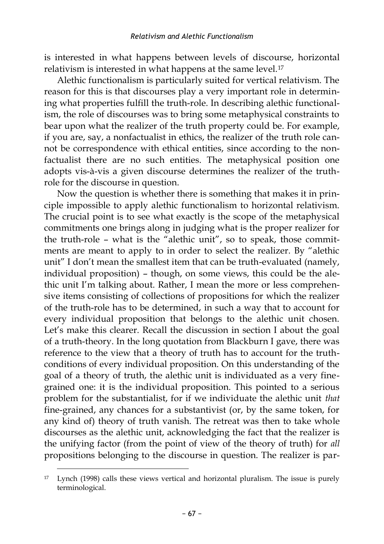is interested in what happens between levels of discourse, horizontal relativism is interested in what happens at the same level.<sup>17</sup>

Alethic functionalism is particularly suited for vertical relativism. The reason for this is that discourses play a very important role in determining what properties fulfill the truth-role. In describing alethic functionalism, the role of discourses was to bring some metaphysical constraints to bear upon what the realizer of the truth property could be. For example, if you are, say, a nonfactualist in ethics, the realizer of the truth role cannot be correspondence with ethical entities, since according to the nonfactualist there are no such entities. The metaphysical position one adopts vis-à-vis a given discourse determines the realizer of the truthrole for the discourse in question.

Now the question is whether there is something that makes it in principle impossible to apply alethic functionalism to horizontal relativism. The crucial point is to see what exactly is the scope of the metaphysical commitments one brings along in judging what is the proper realizer for the truth-role – what is the "alethic unit", so to speak, those commitments are meant to apply to in order to select the realizer. By "alethic unit" I don't mean the smallest item that can be truth-evaluated (namely, individual proposition) – though, on some views, this could be the alethic unit I'm talking about. Rather, I mean the more or less comprehensive items consisting of collections of propositions for which the realizer of the truth-role has to be determined, in such a way that to account for every individual proposition that belongs to the alethic unit chosen. Let's make this clearer. Recall the discussion in section I about the goal of a truth-theory. In the long quotation from Blackburn I gave, there was reference to the view that a theory of truth has to account for the truthconditions of every individual proposition. On this understanding of the goal of a theory of truth, the alethic unit is individuated as a very finegrained one: it is the individual proposition. This pointed to a serious problem for the substantialist, for if we individuate the alethic unit *that* fine-grained, any chances for a substantivist (or, by the same token, for any kind of) theory of truth vanish. The retreat was then to take whole discourses as the alethic unit, acknowledging the fact that the realizer is the unifying factor (from the point of view of the theory of truth) for *all* propositions belonging to the discourse in question. The realizer is par-

<sup>17</sup> Lynch (1998) calls these views vertical and horizontal pluralism. The issue is purely terminological.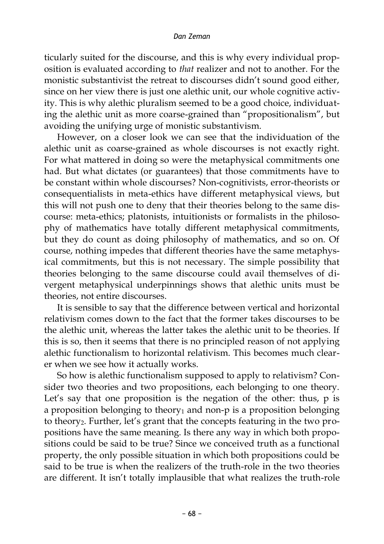ticularly suited for the discourse, and this is why every individual proposition is evaluated according to *that* realizer and not to another. For the monistic substantivist the retreat to discourses didn't sound good either, since on her view there is just one alethic unit, our whole cognitive activity. This is why alethic pluralism seemed to be a good choice, individuating the alethic unit as more coarse-grained than "propositionalism", but avoiding the unifying urge of monistic substantivism.

However, on a closer look we can see that the individuation of the alethic unit as coarse-grained as whole discourses is not exactly right. For what mattered in doing so were the metaphysical commitments one had. But what dictates (or guarantees) that those commitments have to be constant within whole discourses? Non-cognitivists, error-theorists or consequentialists in meta-ethics have different metaphysical views, but this will not push one to deny that their theories belong to the same discourse: meta-ethics; platonists, intuitionists or formalists in the philosophy of mathematics have totally different metaphysical commitments, but they do count as doing philosophy of mathematics, and so on. Of course, nothing impedes that different theories have the same metaphysical commitments, but this is not necessary. The simple possibility that theories belonging to the same discourse could avail themselves of divergent metaphysical underpinnings shows that alethic units must be theories, not entire discourses.

It is sensible to say that the difference between vertical and horizontal relativism comes down to the fact that the former takes discourses to be the alethic unit, whereas the latter takes the alethic unit to be theories. If this is so, then it seems that there is no principled reason of not applying alethic functionalism to horizontal relativism. This becomes much clearer when we see how it actually works.

So how is alethic functionalism supposed to apply to relativism? Consider two theories and two propositions, each belonging to one theory. Let's say that one proposition is the negation of the other: thus, p is a proposition belonging to theory<sub>1</sub> and non-p is a proposition belonging to theory<sub>2</sub>. Further, let's grant that the concepts featuring in the two propositions have the same meaning. Is there any way in which both propositions could be said to be true? Since we conceived truth as a functional property, the only possible situation in which both propositions could be said to be true is when the realizers of the truth-role in the two theories are different. It isn't totally implausible that what realizes the truth-role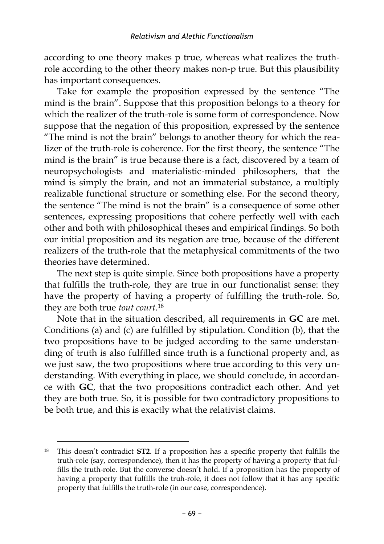according to one theory makes p true, whereas what realizes the truthrole according to the other theory makes non-p true. But this plausibility has important consequences.

Take for example the proposition expressed by the sentence "The mind is the brain". Suppose that this proposition belongs to a theory for which the realizer of the truth-role is some form of correspondence. Now suppose that the negation of this proposition, expressed by the sentence "The mind is not the brain" belongs to another theory for which the realizer of the truth-role is coherence. For the first theory, the sentence "The mind is the brain" is true because there is a fact, discovered by a team of neuropsychologists and materialistic-minded philosophers, that the mind is simply the brain, and not an immaterial substance, a multiply realizable functional structure or something else. For the second theory, the sentence "The mind is not the brain" is a consequence of some other sentences, expressing propositions that cohere perfectly well with each other and both with philosophical theses and empirical findings. So both our initial proposition and its negation are true, because of the different realizers of the truth-role that the metaphysical commitments of the two theories have determined.

The next step is quite simple. Since both propositions have a property that fulfills the truth-role, they are true in our functionalist sense: they have the property of having a property of fulfilling the truth-role. So, they are both true *tout court*. 18

Note that in the situation described, all requirements in **GC** are met. Conditions (a) and (c) are fulfilled by stipulation. Condition (b), that the two propositions have to be judged according to the same understanding of truth is also fulfilled since truth is a functional property and, as we just saw, the two propositions where true according to this very understanding. With everything in place, we should conclude, in accordance with **GC**, that the two propositions contradict each other. And yet they are both true. So, it is possible for two contradictory propositions to be both true, and this is exactly what the relativist claims.

<sup>18</sup> This doesn't contradict **ST2**. If a proposition has a specific property that fulfills the truth-role (say, correspondence), then it has the property of having a property that fulfills the truth-role. But the converse doesn't hold. If a proposition has the property of having a property that fulfills the truh-role, it does not follow that it has any specific property that fulfills the truth-role (in our case, correspondence).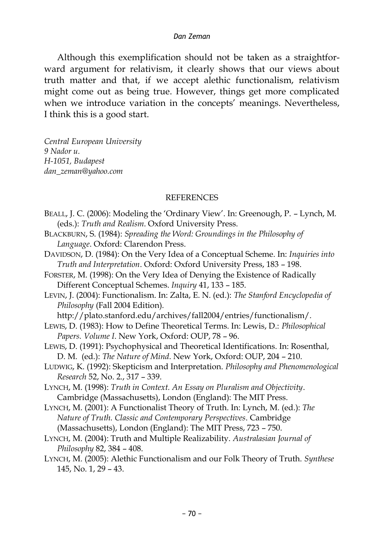Although this exemplification should not be taken as a straightforward argument for relativism, it clearly shows that our views about truth matter and that, if we accept alethic functionalism, relativism might come out as being true. However, things get more complicated when we introduce variation in the concepts' meanings. Nevertheless, I think this is a good start.

*Central European University 9 Nador u. H-1051, Budapest dan\_zeman@yahoo.com*

#### **REFERENCES**

- BEALL, J. C. (2006): Modeling the 'Ordinary View'. In: Greenough, P. Lynch, M. (eds.): *Truth and Realism*. Oxford University Press.
- BLACKBURN, S. (1984): *Spreading the Word: Groundings in the Philosophy of Language*. Oxford: Clarendon Press.
- DAVIDSON, D. (1984): On the Very Idea of a Conceptual Scheme. In: *Inquiries into Truth and Interpretation*. Oxford: Oxford University Press, 183 – 198.
- FORSTER, M. (1998): On the Very Idea of Denying the Existence of Radically Different Conceptual Schemes. *Inquiry* 41, 133 – 185.
- LEVIN, J. (2004): Functionalism. In: Zalta, E. N. (ed.): *The Stanford Encyclopedia of Philosophy* (Fall 2004 Edition)*.*
- http://plato.stanford.edu/archives/fall2004/entries/functionalism/.
- LEWIS, D. (1983): How to Define Theoretical Terms. In: Lewis, D.: *Philosophical Papers. Volume I*. New York, Oxford: OUP, 78 – 96.
- LEWIS, D. (1991): Psychophysical and Theoretical Identifications. In: Rosenthal, D. M. (ed.): *The Nature of Mind*. New York, Oxford: OUP, 204 – 210.
- LUDWIG, K. (1992): Skepticism and Interpretation. *Philosophy and Phenomenological Research* 52, No. 2., 317 – 339.
- LYNCH, M. (1998): *Truth in Context. An Essay on Pluralism and Objectivity*. Cambridge (Massachusetts), London (England): The MIT Press.
- LYNCH, M. (2001): A Functionalist Theory of Truth. In: Lynch, M. (ed.): *The Nature of Truth. Classic and Contemporary Perspectives*. Cambridge (Massachusetts), London (England): The MIT Press, 723 – 750.
- LYNCH, M. (2004): Truth and Multiple Realizability. *Australasian Journal of Philosophy* 82, 384 – 408.
- LYNCH, M. (2005): Alethic Functionalism and our Folk Theory of Truth. *Synthese* 145, No. 1, 29 – 43.